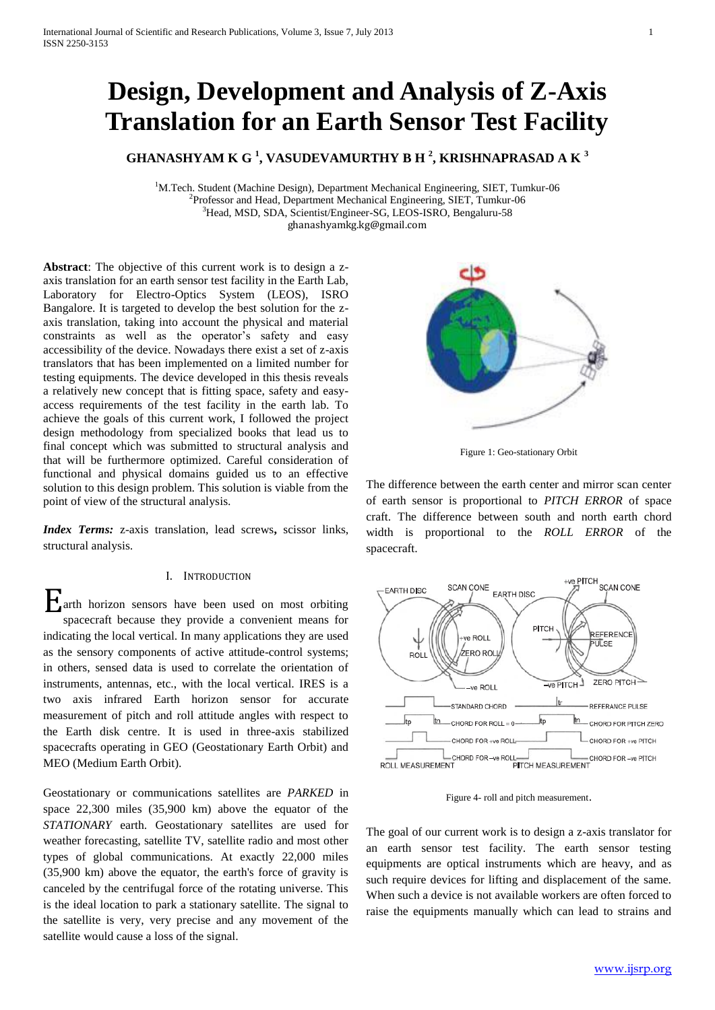# **Design, Development and Analysis of Z-Axis Translation for an Earth Sensor Test Facility**

**GHANASHYAM K G <sup>1</sup> , VASUDEVAMURTHY B H <sup>2</sup> , KRISHNAPRASAD A K <sup>3</sup>**

<sup>1</sup>M.Tech. Student (Machine Design), Department Mechanical Engineering, SIET, Tumkur-06 <sup>2</sup>Professor and Head, Department Mechanical Engineering, SIET, Tumkur-06 <sup>3</sup>Head, MSD, SDA, Scientist/Engineer-SG, LEOS-ISRO, Bengaluru-58 [ghanashyamkg.kg@gmail.com](mailto:ghanashyamkg.kg@gmail.com)

**Abstract**: The objective of this current work is to design a zaxis translation for an earth sensor test facility in the Earth Lab, Laboratory for Electro-Optics System (LEOS), ISRO Bangalore. It is targeted to develop the best solution for the zaxis translation, taking into account the physical and material constraints as well as the operator's safety and easy accessibility of the device. Nowadays there exist a set of z-axis translators that has been implemented on a limited number for testing equipments. The device developed in this thesis reveals a relatively new concept that is fitting space, safety and easyaccess requirements of the test facility in the earth lab. To achieve the goals of this current work, I followed the project design methodology from specialized books that lead us to final concept which was submitted to structural analysis and that will be furthermore optimized. Careful consideration of functional and physical domains guided us to an effective solution to this design problem. This solution is viable from the point of view of the structural analysis.

*Index Terms:* z-axis translation, lead screws**,** scissor links, structural analysis.

## I. INTRODUCTION

arth horizon sensors have been used on most orbiting spacecraft because they provide a convenient means for indicating the local vertical. In many applications they are used as the sensory components of active attitude-control systems; in others, sensed data is used to correlate the orientation of instruments, antennas, etc., with the local vertical. IRES is a two axis infrared Earth horizon sensor for accurate measurement of pitch and roll attitude angles with respect to the Earth disk centre. It is used in three-axis stabilized spacecrafts operating in GEO (Geostationary Earth Orbit) and MEO (Medium Earth Orbit). E

Geostationary or communications satellites are *PARKED* in space 22,300 miles (35,900 km) above the equator of the *STATIONARY* earth. Geostationary satellites are used for weather forecasting, satellite TV, satellite radio and most other types of global communications. At exactly 22,000 miles (35,900 km) above the equator, the earth's force of gravity is canceled by the centrifugal force of the rotating universe. This is the ideal location to park a stationary satellite. The signal to the satellite is very, very precise and any movement of the satellite would cause a loss of the signal.



Figure 1: Geo-stationary Orbit

The difference between the earth center and mirror scan center of earth sensor is proportional to *PITCH ERROR* of space craft. The difference between south and north earth chord width is proportional to the *ROLL ERROR* of the spacecraft.



Figure 4- roll and pitch measurement.

The goal of our current work is to design a z-axis translator for an earth sensor test facility. The earth sensor testing equipments are optical instruments which are heavy, and as such require devices for lifting and displacement of the same. When such a device is not available workers are often forced to raise the equipments manually which can lead to strains and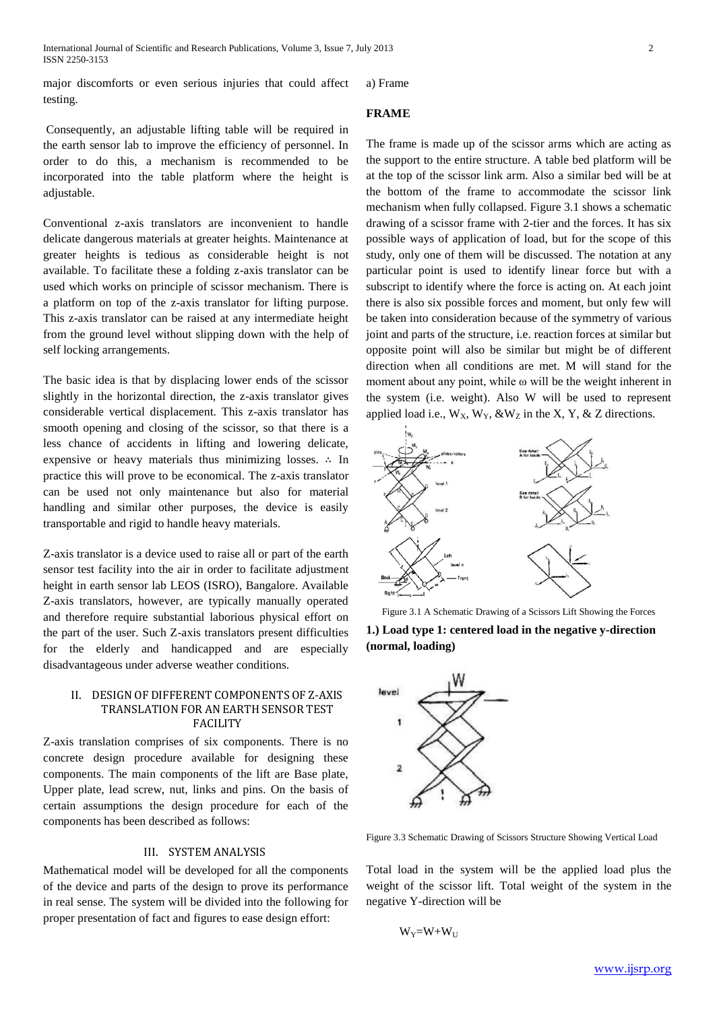Consequently, an adjustable lifting table will be required in the earth sensor lab to improve the efficiency of personnel. In order to do this, a mechanism is recommended to be incorporated into the table platform where the height is adjustable.

Conventional z-axis translators are inconvenient to handle delicate dangerous materials at greater heights. Maintenance at greater heights is tedious as considerable height is not available. To facilitate these a folding z-axis translator can be used which works on principle of scissor mechanism. There is a platform on top of the z-axis translator for lifting purpose. This z-axis translator can be raised at any intermediate height from the ground level without slipping down with the help of self locking arrangements.

The basic idea is that by displacing lower ends of the scissor slightly in the horizontal direction, the z-axis translator gives considerable vertical displacement. This z-axis translator has smooth opening and closing of the scissor, so that there is a less chance of accidents in lifting and lowering delicate, expensive or heavy materials thus minimizing losses. ∴ In practice this will prove to be economical. The z-axis translator can be used not only maintenance but also for material handling and similar other purposes, the device is easily transportable and rigid to handle heavy materials.

Z-axis translator is a device used to raise all or part of the earth sensor test facility into the air in order to facilitate adjustment height in earth sensor lab LEOS (ISRO), Bangalore. Available Z-axis translators, however, are typically manually operated and therefore require substantial laborious physical effort on the part of the user. Such Z-axis translators present difficulties for the elderly and handicapped and are especially disadvantageous under adverse weather conditions.

# II. DESIGN OF DIFFERENT COMPONENTS OF Z-AXIS TRANSLATION FOR AN EARTH SENSOR TEST FACILITY

Z-axis translation comprises of six components. There is no concrete design procedure available for designing these components. The main components of the lift are Base plate, Upper plate, lead screw, nut, links and pins. On the basis of certain assumptions the design procedure for each of the components has been described as follows:

## III. SYSTEM ANALYSIS

Mathematical model will be developed for all the components of the device and parts of the design to prove its performance in real sense. The system will be divided into the following for proper presentation of fact and figures to ease design effort:

a) Frame

# **FRAME**

The frame is made up of the scissor arms which are acting as the support to the entire structure. A table bed platform will be at the top of the scissor link arm. Also a similar bed will be at the bottom of the frame to accommodate the scissor link mechanism when fully collapsed. Figure 3.1 shows a schematic drawing of a scissor frame with 2-tier and the forces. It has six possible ways of application of load, but for the scope of this study, only one of them will be discussed. The notation at any particular point is used to identify linear force but with a subscript to identify where the force is acting on. At each joint there is also six possible forces and moment, but only few will be taken into consideration because of the symmetry of various joint and parts of the structure, i.e. reaction forces at similar but opposite point will also be similar but might be of different direction when all conditions are met. M will stand for the moment about any point, while ω will be the weight inherent in the system (i.e. weight). Also W will be used to represent applied load i.e.,  $W_X$ ,  $W_Y$ ,  $\&W_Z$  in the X, Y,  $\&Z$  directions.



Figure 3.1 A Schematic Drawing of a Scissors Lift Showing the Forces

**1.) Load type 1: centered load in the negative y-direction (normal, loading)** 



Figure 3.3 Schematic Drawing of Scissors Structure Showing Vertical Load

Total load in the system will be the applied load plus the weight of the scissor lift. Total weight of the system in the negative Y-direction will be

$$
W_Y\!\!=\!\!W\!\!+\!\!W_U
$$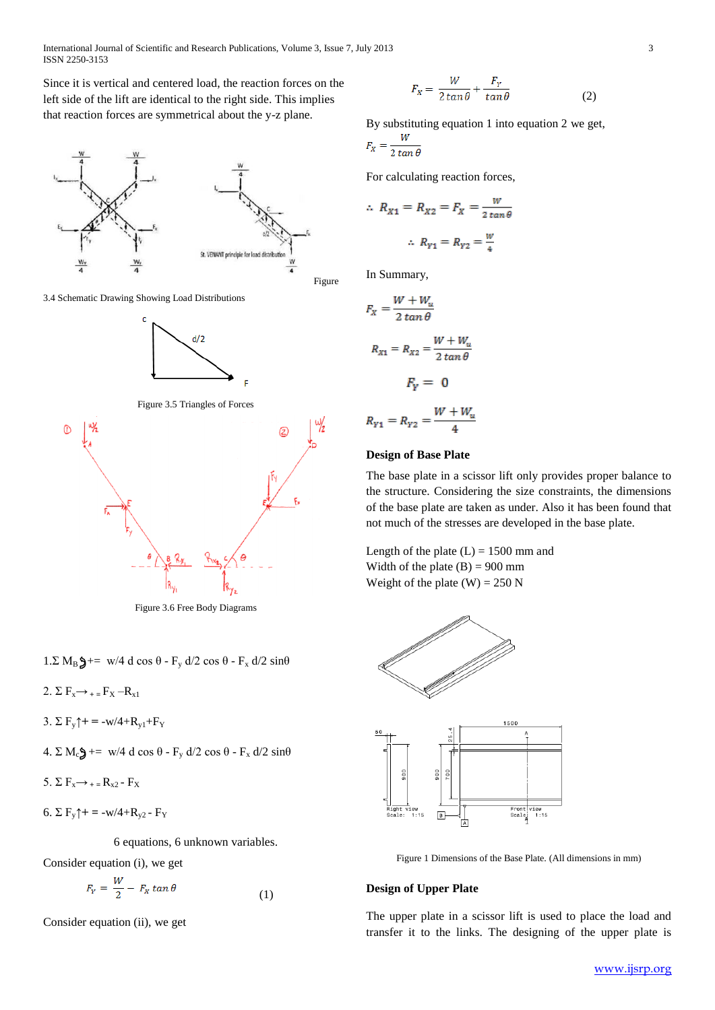Since it is vertical and centered load, the reaction forces on the left side of the lift are identical to the right side. This implies that reaction forces are symmetrical about the y-z plane.



3.4 Schematic Drawing Showing Load Distributions



Figure 3.5 Triangles of Forces



Figure 3.6 Free Body Diagrams

1.Σ M<sub>B</sub> $\oint$ += w/4 d cos θ - F<sub>y</sub> d/2 cos θ - F<sub>x</sub> d/2 sinθ

2.  $\Sigma F_x \rightarrow +E_y - R_x$ 

3.  $\Sigma F_{v}$ † = -w/4+ $R_{v1}$ + $F_{Y}$ 

4. 
$$
\Sigma M_c
$$
 = w/4 d cos  $\theta$  - F<sub>y</sub> d/2 cos  $\theta$  - F<sub>x</sub> d/2 sin $\theta$ 

5.  $\Sigma F_x \rightarrow +R_x2 - F_x$ 

6. Σ  $F_v$ † = -w/4+R<sub>v2</sub> - F<sub>Y</sub>

6 equations, 6 unknown variables.

Consider equation (i), we get  $\ddotsc$ 

$$
F_Y = \frac{W}{2} - F_X \tan \theta \tag{1}
$$

Consider equation (ii), we get

$$
F_x = \frac{W}{2\tan\theta} + \frac{F_y}{\tan\theta} \tag{2}
$$

By substituting equation 1 into equation 2 we get, W

$$
x^2 \quad 2 \tan \theta
$$

For calculating reaction forces,

$$
\therefore R_{X1} = R_{X2} = F_X = \frac{W}{2 \tan \theta}
$$

$$
\therefore R_{Y1} = R_{Y2} = \frac{W}{4}
$$

In Summary,

$$
F_X = \frac{W + W_u}{2 \tan \theta}
$$
  

$$
R_{X1} = R_{X2} = \frac{W + W_u}{2 \tan \theta}
$$
  

$$
F_Y = 0
$$
  

$$
R_{Y1} = R_{Y2} = \frac{W + W_u}{4}
$$

## **Design of Base Plate**

The base plate in a scissor lift only provides proper balance to the structure. Considering the size constraints, the dimensions of the base plate are taken as under. Also it has been found that not much of the stresses are developed in the base plate.

Length of the plate  $(L) = 1500$  mm and Width of the plate  $(B) = 900$  mm Weight of the plate  $(W) = 250 N$ 



Figure 1 Dimensions of the Base Plate. (All dimensions in mm)

#### **Design of Upper Plate**

The upper plate in a scissor lift is used to place the load and transfer it to the links. The designing of the upper plate is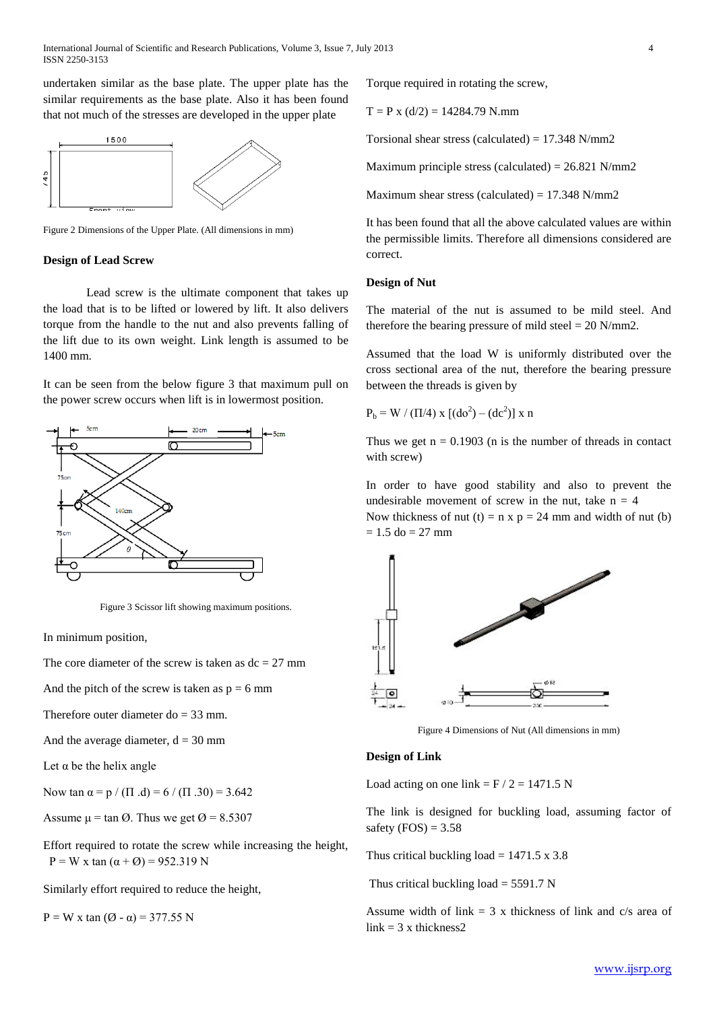undertaken similar as the base plate. The upper plate has the similar requirements as the base plate. Also it has been found that not much of the stresses are developed in the upper plate



Figure 2 Dimensions of the Upper Plate. (All dimensions in mm)

#### **Design of Lead Screw**

Lead screw is the ultimate component that takes up the load that is to be lifted or lowered by lift. It also delivers torque from the handle to the nut and also prevents falling of the lift due to its own weight. Link length is assumed to be 1400 mm.

It can be seen from the below figure 3 that maximum pull on the power screw occurs when lift is in lowermost position.



Figure 3 Scissor lift showing maximum positions.

In minimum position,

The core diameter of the screw is taken as  $dc = 27$  mm

And the pitch of the screw is taken as  $p = 6$  mm

Therefore outer diameter  $do = 33$  mm.

And the average diameter,  $d = 30$  mm

Let  $\alpha$  be the helix angle

Now tan  $\alpha = p / (\Pi \cdot d) = 6 / (\Pi \cdot 30) = 3.642$ 

Assume  $\mu$  = tan  $\varnothing$ . Thus we get  $\varnothing$  = 8.5307

Effort required to rotate the screw while increasing the height,  $P = W x \tan(\alpha + \emptyset) = 952.319 N$ 

Similarly effort required to reduce the height,

 $P = W x \tan (\emptyset - \alpha) = 377.55 N$ 

Torque required in rotating the screw,

 $T = P x (d/2) = 14284.79$  N.mm

Torsional shear stress (calculated) =  $17.348$  N/mm2

Maximum principle stress (calculated) =  $26.821$  N/mm2

Maximum shear stress (calculated) =  $17.348$  N/mm2

It has been found that all the above calculated values are within the permissible limits. Therefore all dimensions considered are correct.

# **Design of Nut**

The material of the nut is assumed to be mild steel. And therefore the bearing pressure of mild steel  $= 20$  N/mm2.

Assumed that the load W is uniformly distributed over the cross sectional area of the nut, therefore the bearing pressure between the threads is given by

$$
P_b = W / (\Pi/4) x [ (do^2) - (dc^2) ] x n
$$

Thus we get  $n = 0.1903$  (n is the number of threads in contact with screw)

In order to have good stability and also to prevent the undesirable movement of screw in the nut, take  $n = 4$ 

Now thickness of nut (t) = n x p = 24 mm and width of nut (b)  $= 1.5$  do  $= 27$  mm



Figure 4 Dimensions of Nut (All dimensions in mm)

## **Design of Link**

Load acting on one link =  $F / 2 = 1471.5 N$ 

The link is designed for buckling load, assuming factor of safety  $(FOS) = 3.58$ 

Thus critical buckling load =  $1471.5 \times 3.8$ 

Thus critical buckling load  $= 5591.7$  N

Assume width of link  $= 3$  x thickness of link and c/s area of  $link = 3$  x thickness2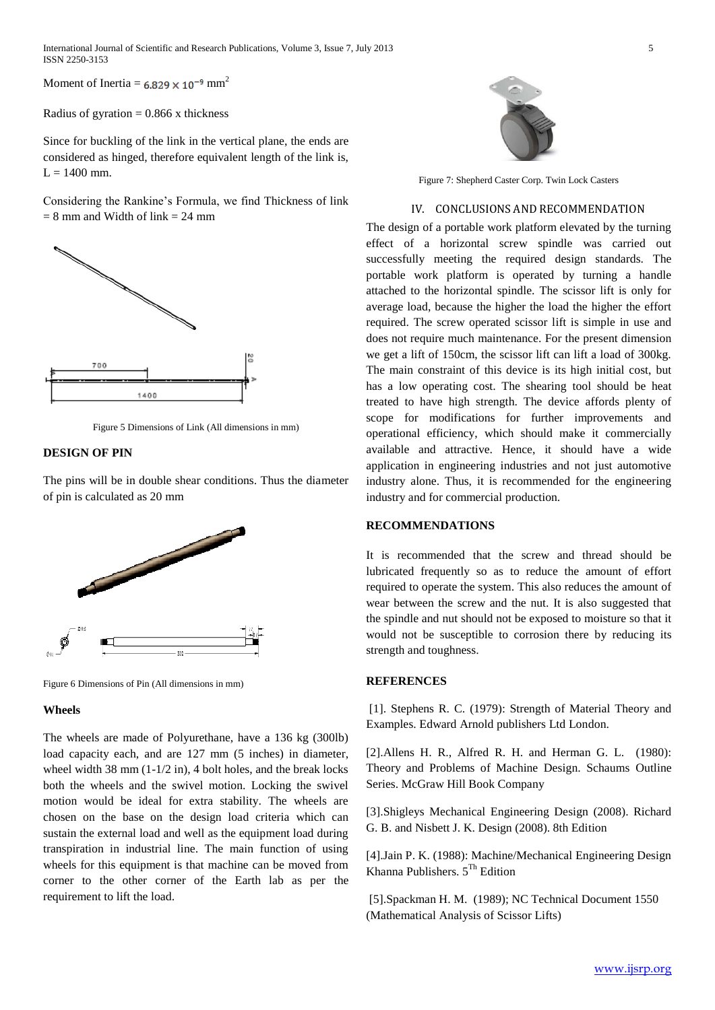Moment of Inertia =  $6.829 \times 10^{-9}$  mm<sup>2</sup>

Radius of gyration  $= 0.866$  x thickness

Since for buckling of the link in the vertical plane, the ends are considered as hinged, therefore equivalent length of the link is,  $L = 1400$  mm.

Considering the Rankine's Formula, we find Thickness of link  $= 8$  mm and Width of link  $= 24$  mm



Figure 5 Dimensions of Link (All dimensions in mm)

# **DESIGN OF PIN**

The pins will be in double shear conditions. Thus the diameter of pin is calculated as 20 mm



Figure 6 Dimensions of Pin (All dimensions in mm)

#### **Wheels**

The wheels are made of Polyurethane, have a 136 kg (300lb) load capacity each, and are 127 mm (5 inches) in diameter, wheel width  $38 \text{ mm}$   $(1-1/2 \text{ in})$ , 4 bolt holes, and the break locks both the wheels and the swivel motion. Locking the swivel motion would be ideal for extra stability. The wheels are chosen on the base on the design load criteria which can sustain the external load and well as the equipment load during transpiration in industrial line. The main function of using wheels for this equipment is that machine can be moved from corner to the other corner of the Earth lab as per the requirement to lift the load.



Figure 7: Shepherd Caster Corp. Twin Lock Casters

#### IV. CONCLUSIONS AND RECOMMENDATION

The design of a portable work platform elevated by the turning effect of a horizontal screw spindle was carried out successfully meeting the required design standards. The portable work platform is operated by turning a handle attached to the horizontal spindle. The scissor lift is only for average load, because the higher the load the higher the effort required. The screw operated scissor lift is simple in use and does not require much maintenance. For the present dimension we get a lift of 150cm, the scissor lift can lift a load of 300kg. The main constraint of this device is its high initial cost, but has a low operating cost. The shearing tool should be heat treated to have high strength. The device affords plenty of scope for modifications for further improvements and operational efficiency, which should make it commercially available and attractive. Hence, it should have a wide application in engineering industries and not just automotive industry alone. Thus, it is recommended for the engineering industry and for commercial production.

#### **RECOMMENDATIONS**

It is recommended that the screw and thread should be lubricated frequently so as to reduce the amount of effort required to operate the system. This also reduces the amount of wear between the screw and the nut. It is also suggested that the spindle and nut should not be exposed to moisture so that it would not be susceptible to corrosion there by reducing its strength and toughness.

## **REFERENCES**

[1]. Stephens R. C. (1979): Strength of Material Theory and Examples. Edward Arnold publishers Ltd London.

[2].Allens H. R., Alfred R. H. and Herman G. L. (1980): Theory and Problems of Machine Design. Schaums Outline Series. McGraw Hill Book Company

[3].Shigleys Mechanical Engineering Design (2008). Richard G. B. and Nisbett J. K. Design (2008). 8th Edition

[4].Jain P. K. (1988): Machine/Mechanical Engineering Design Khanna Publishers.  $5^{Th}$  Edition

[5].Spackman H. M. (1989); NC Technical Document 1550 (Mathematical Analysis of Scissor Lifts)